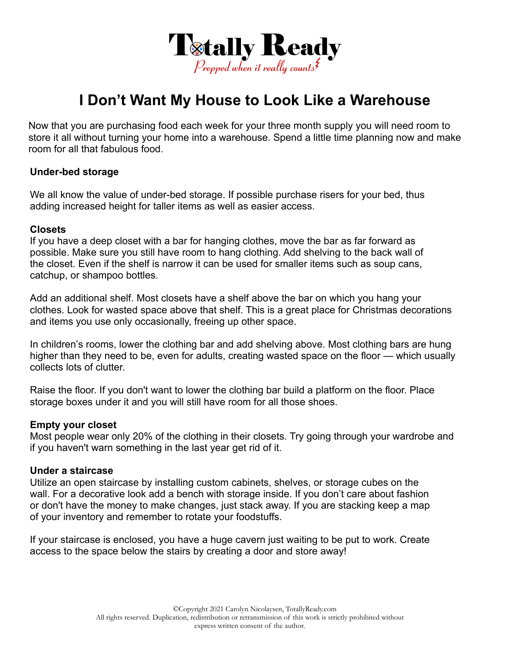

# **I Don't Want My House to Look Like a Warehouse**

Now that you are purchasing food each week for your three month supply you will need room to store it all without turning your home into a warehouse. Spend a little time planning now and make room for all that fabulous food.

#### **Under-bed storage**

We all know the value of under-bed storage. If possible purchase risers for your bed, thus adding increased height for taller items as well as easier access.

#### **Closets**

If you have a deep closet with a bar for hanging clothes, move the bar as far forward as possible. Make sure you still have room to hang clothing. Add shelving to the back wall of the closet. Even if the shelf is narrow it can be used for smaller items such as soup cans, catchup, or shampoo bottles.

Add an additional shelf. Most closets have a shelf above the bar on which you hang your clothes. Look for wasted space above that shelf. This is a great place for Christmas decorations and items you use only occasionally, freeing up other space.

In children's rooms, lower the clothing bar and add shelving above. Most clothing bars are hung higher than they need to be, even for adults, creating wasted space on the floor — which usually collects lots of clutter.

Raise the floor. If you don't want to lower the clothing bar build a platform on the floor. Place storage boxes under it and you will still have room for all those shoes.

## **Empty your closet**

Most people wear only 20% of the clothing in their closets. Try going through your wardrobe and if you haven't warn something in the last year get rid of it.

#### **Under a staircase**

Utilize an open staircase by installing custom cabinets, shelves, or storage cubes on the wall. For a decorative look add a bench with storage inside. If you don't care about fashion or don't have the money to make changes, just stack away. If you are stacking keep a map of your inventory and remember to rotate your foodstuffs.

If your staircase is enclosed, you have a huge cavern just waiting to be put to work. Create access to the space below the stairs by creating a door and store away!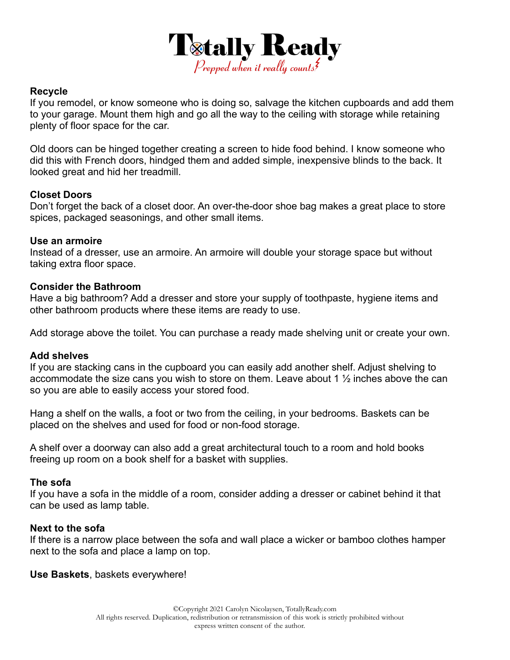

## **Recycle**

If you remodel, or know someone who is doing so, salvage the kitchen cupboards and add them to your garage. Mount them high and go all the way to the ceiling with storage while retaining plenty of floor space for the car.

Old doors can be hinged together creating a screen to hide food behind. I know someone who did this with French doors, hindged them and added simple, inexpensive blinds to the back. It looked great and hid her treadmill.

# **Closet Doors**

Don't forget the back of a closet door. An over-the-door shoe bag makes a great place to store spices, packaged seasonings, and other small items.

## **Use an armoire**

Instead of a dresser, use an armoire. An armoire will double your storage space but without taking extra floor space.

# **Consider the Bathroom**

Have a big bathroom? Add a dresser and store your supply of toothpaste, hygiene items and other bathroom products where these items are ready to use.

Add storage above the toilet. You can purchase a ready made shelving unit or create your own.

## **Add shelves**

If you are stacking cans in the cupboard you can easily add another shelf. Adjust shelving to accommodate the size cans you wish to store on them. Leave about 1  $\frac{1}{2}$  inches above the can so you are able to easily access your stored food.

Hang a shelf on the walls, a foot or two from the ceiling, in your bedrooms. Baskets can be placed on the shelves and used for food or non-food storage.

A shelf over a doorway can also add a great architectural touch to a room and hold books freeing up room on a book shelf for a basket with supplies.

## **The sofa**

If you have a sofa in the middle of a room, consider adding a dresser or cabinet behind it that can be used as lamp table.

## **Next to the sofa**

If there is a narrow place between the sofa and wall place a wicker or bamboo clothes hamper next to the sofa and place a lamp on top.

**Use Baskets**, baskets everywhere!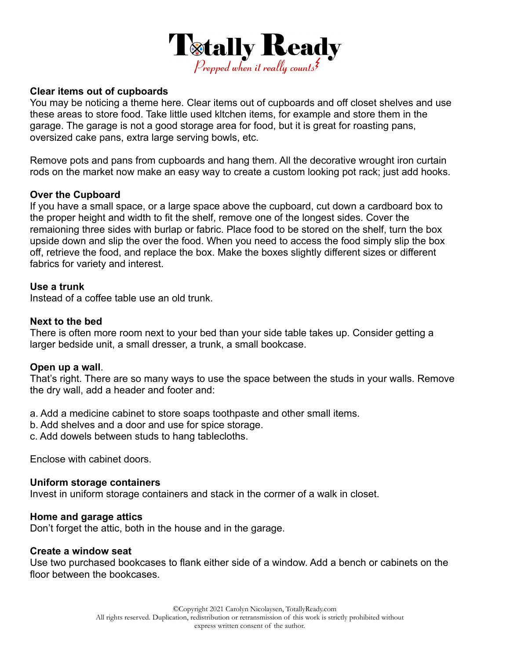

## **Clear items out of cupboards**

You may be noticing a theme here. Clear items out of cupboards and off closet shelves and use these areas to store food. Take little used kltchen items, for example and store them in the garage. The garage is not a good storage area for food, but it is great for roasting pans, oversized cake pans, extra large serving bowls, etc.

Remove pots and pans from cupboards and hang them. All the decorative wrought iron curtain rods on the market now make an easy way to create a custom looking pot rack; just add hooks.

# **Over the Cupboard**

If you have a small space, or a large space above the cupboard, cut down a cardboard box to the proper height and width to fit the shelf, remove one of the longest sides. Cover the remaioning three sides with burlap or fabric. Place food to be stored on the shelf, turn the box upside down and slip the over the food. When you need to access the food simply slip the box off, retrieve the food, and replace the box. Make the boxes slightly different sizes or different fabrics for variety and interest.

# **Use a trunk**

Instead of a coffee table use an old trunk.

# **Next to the bed**

There is often more room next to your bed than your side table takes up. Consider getting a larger bedside unit, a small dresser, a trunk, a small bookcase.

## **Open up a wall**.

That's right. There are so many ways to use the space between the studs in your walls. Remove the dry wall, add a header and footer and:

a. Add a medicine cabinet to store soaps toothpaste and other small items.

b. Add shelves and a door and use for spice storage.

c. Add dowels between studs to hang tablecloths.

Enclose with cabinet doors.

## **Uniform storage containers**

Invest in uniform storage containers and stack in the cormer of a walk in closet.

## **Home and garage attics**

Don't forget the attic, both in the house and in the garage.

#### **Create a window seat**

Use two purchased bookcases to flank either side of a window. Add a bench or cabinets on the floor between the bookcases.